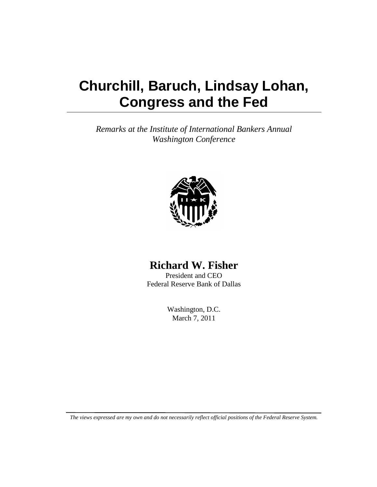# **Churchill, Baruch, Lindsay Lohan, Congress and the Fed**

*Remarks at the Institute of International Bankers Annual Washington Conference*



## **Richard W. Fisher**

President and CEO Federal Reserve Bank of Dallas

> Washington, D.C. March 7, 2011

*The views expressed are my own and do not necessarily reflect official positions of the Federal Reserve System.*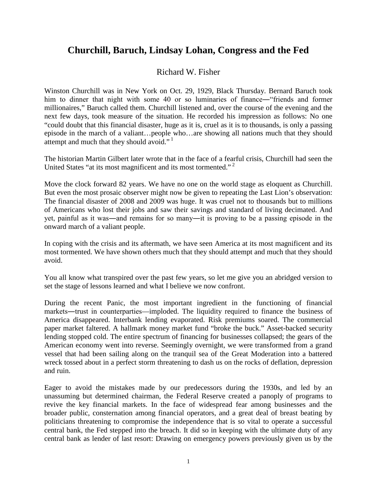### **Churchill, Baruch, Lindsay Lohan, Congress and the Fed**

#### Richard W. Fisher

Winston Churchill was in New York on Oct. 29, 1929, Black Thursday. Bernard Baruch took him to dinner that night with some 40 or so luminaries of finance—"friends and former millionaires," Baruch called them. Churchill listened and, over the course of the evening and the next few days, took measure of the situation. He recorded his impression as follows: No one "could doubt that this financial disaster, huge as it is, cruel as it is to thousands, is only a passing episode in the march of a valiant…people who…are showing all nations much that they should attempt and much that they should avoid." $<sup>1</sup>$ </sup>

The historian Martin Gilbert later wrote that in the face of a fearful crisis, Churchill had seen the United States "at its most magnificent and its most tormented." <sup>2</sup>

Move the clock forward 82 years. We have no one on the world stage as eloquent as Churchill. But even the most prosaic observer might now be given to repeating the Last Lion's observation: The financial disaster of 2008 and 2009 was huge. It was cruel not to thousands but to millions of Americans who lost their jobs and saw their savings and standard of living decimated. And yet, painful as it was―and remains for so many―it is proving to be a passing episode in the onward march of a valiant people.

In coping with the crisis and its aftermath, we have seen America at its most magnificent and its most tormented. We have shown others much that they should attempt and much that they should avoid.

You all know what transpired over the past few years, so let me give you an abridged version to set the stage of lessons learned and what I believe we now confront.

During the recent Panic, the most important ingredient in the functioning of financial markets―trust in counterparties—imploded. The liquidity required to finance the business of America disappeared. Interbank lending evaporated. Risk premiums soared. The commercial paper market faltered. A hallmark money market fund "broke the buck." Asset-backed security lending stopped cold. The entire spectrum of financing for businesses collapsed; the gears of the American economy went into reverse. Seemingly overnight, we were transformed from a grand vessel that had been sailing along on the tranquil sea of the Great Moderation into a battered wreck tossed about in a perfect storm threatening to dash us on the rocks of deflation, depression and ruin.

Eager to avoid the mistakes made by our predecessors during the 1930s, and led by an unassuming but determined chairman, the Federal Reserve created a panoply of programs to revive the key financial markets. In the face of widespread fear among businesses and the broader public, consternation among financial operators, and a great deal of breast beating by politicians threatening to compromise the independence that is so vital to operate a successful central bank, the Fed stepped into the breach. It did so in keeping with the ultimate duty of any central bank as lender of last resort: Drawing on emergency powers previously given us by the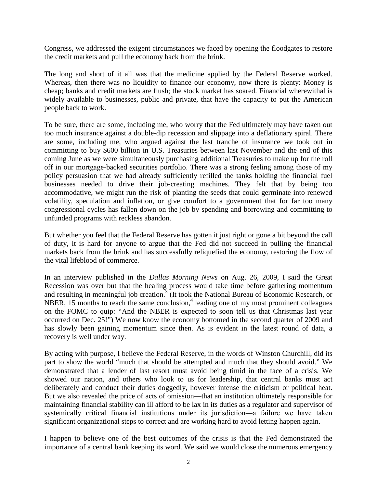Congress, we addressed the exigent circumstances we faced by opening the floodgates to restore the credit markets and pull the economy back from the brink.

The long and short of it all was that the medicine applied by the Federal Reserve worked. Whereas, then there was no liquidity to finance our economy, now there is plenty: Money is cheap; banks and credit markets are flush; the stock market has soared. Financial wherewithal is widely available to businesses, public and private, that have the capacity to put the American people back to work.

To be sure, there are some, including me, who worry that the Fed ultimately may have taken out too much insurance against a double-dip recession and slippage into a deflationary spiral. There are some, including me, who argued against the last tranche of insurance we took out in committing to buy \$600 billion in U.S. Treasuries between last November and the end of this coming June as we were simultaneously purchasing additional Treasuries to make up for the roll off in our mortgage-backed securities portfolio. There was a strong feeling among those of my policy persuasion that we had already sufficiently refilled the tanks holding the financial fuel businesses needed to drive their job-creating machines. They felt that by being too accommodative, we might run the risk of planting the seeds that could germinate into renewed volatility, speculation and inflation, or give comfort to a government that for far too many congressional cycles has fallen down on the job by spending and borrowing and committing to unfunded programs with reckless abandon.

But whether you feel that the Federal Reserve has gotten it just right or gone a bit beyond the call of duty, it is hard for anyone to argue that the Fed did not succeed in pulling the financial markets back from the brink and has successfully reliquefied the economy, restoring the flow of the vital lifeblood of commerce.

In an interview published in the *Dallas Morning News* on Aug. 26, 2009, I said the Great Recession was over but that the healing process would take time before gathering momentum and resulting in meaningful job creation.<sup>3</sup> (It took the National Bureau of Economic Research, or NBER, 15 months to reach the same conclusion,<sup>4</sup> leading one of my most prominent colleagues on the FOMC to quip: "And the NBER is expected to soon tell us that Christmas last year occurred on Dec. 25!") We now know the economy bottomed in the second quarter of 2009 and has slowly been gaining momentum since then. As is evident in the latest round of data, a recovery is well under way.

By acting with purpose, I believe the Federal Reserve, in the words of Winston Churchill, did its part to show the world "much that should be attempted and much that they should avoid." We demonstrated that a lender of last resort must avoid being timid in the face of a crisis. We showed our nation, and others who look to us for leadership, that central banks must act deliberately and conduct their duties doggedly, however intense the criticism or political heat. But we also revealed the price of acts of omission—that an institution ultimately responsible for maintaining financial stability can ill afford to be lax in its duties as a regulator and supervisor of systemically critical financial institutions under its jurisdiction―a failure we have taken significant organizational steps to correct and are working hard to avoid letting happen again.

I happen to believe one of the best outcomes of the crisis is that the Fed demonstrated the importance of a central bank keeping its word. We said we would close the numerous emergency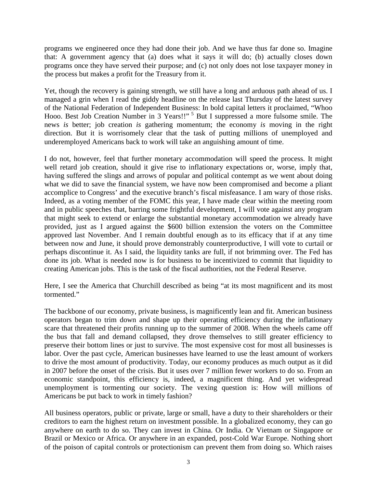programs we engineered once they had done their job. And we have thus far done so. Imagine that: A government agency that (a) does what it says it will do; (b) actually closes down programs once they have served their purpose; and (c) not only does not lose taxpayer money in the process but makes a profit for the Treasury from it.

Yet, though the recovery is gaining strength, we still have a long and arduous path ahead of us. I managed a grin when I read the giddy headline on the release last Thursday of the latest survey of the National Federation of Independent Business: In bold capital letters it proclaimed, "Whoo Hooo. Best Job Creation Number in 3 Years!!"<sup>5</sup> But I suppressed a more fulsome smile. The news *is* better; job creation *is* gathering momentum; the economy *is* moving in the right direction. But it is worrisomely clear that the task of putting millions of unemployed and underemployed Americans back to work will take an anguishing amount of time.

I do not, however, feel that further monetary accommodation will speed the process. It might well retard job creation, should it give rise to inflationary expectations or, worse, imply that, having suffered the slings and arrows of popular and political contempt as we went about doing what we did to save the financial system, we have now been compromised and become a pliant accomplice to Congress' and the executive branch's fiscal misfeasance. I am wary of those risks. Indeed, as a voting member of the FOMC this year, I have made clear within the meeting room and in public speeches that, barring some frightful development, I will vote against any program that might seek to extend or enlarge the substantial monetary accommodation we already have provided, just as I argued against the \$600 billion extension the voters on the Committee approved last November. And I remain doubtful enough as to its efficacy that if at any time between now and June, it should prove demonstrably counterproductive, I will vote to curtail or perhaps discontinue it. As I said, the liquidity tanks are full, if not brimming over. The Fed has done its job. What is needed now is for business to be incentivized to commit that liquidity to creating American jobs. This is the task of the fiscal authorities, not the Federal Reserve.

Here, I see the America that Churchill described as being "at its most magnificent and its most tormented."

The backbone of our economy, private business, is magnificently lean and fit. American business operators began to trim down and shape up their operating efficiency during the inflationary scare that threatened their profits running up to the summer of 2008. When the wheels came off the bus that fall and demand collapsed, they drove themselves to still greater efficiency to preserve their bottom lines or just to survive. The most expensive cost for most all businesses is labor. Over the past cycle, American businesses have learned to use the least amount of workers to drive the most amount of productivity. Today, our economy produces as much output as it did in 2007 before the onset of the crisis. But it uses over 7 million fewer workers to do so. From an economic standpoint, this efficiency is, indeed, a magnificent thing. And yet widespread unemployment is tormenting our society. The vexing question is: How will millions of Americans be put back to work in timely fashion?

All business operators, public or private, large or small, have a duty to their shareholders or their creditors to earn the highest return on investment possible. In a globalized economy, they can go anywhere on earth to do so. They can invest in China. Or India. Or Vietnam or Singapore or Brazil or Mexico or Africa. Or anywhere in an expanded, post-Cold War Europe. Nothing short of the poison of capital controls or protectionism can prevent them from doing so. Which raises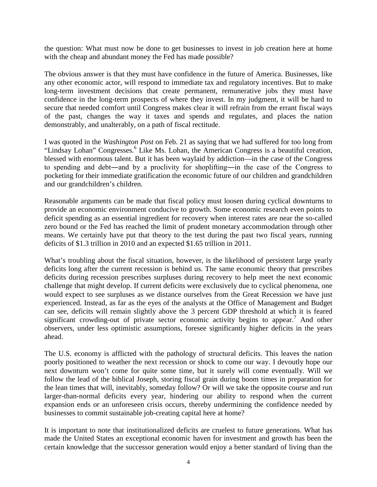the question: What must now be done to get businesses to invest in job creation here at home with the cheap and abundant money the Fed has made possible?

The obvious answer is that they must have confidence in the future of America. Businesses, like any other economic actor, will respond to immediate tax and regulatory incentives. But to make long-term investment decisions that create permanent, remunerative jobs they must have confidence in the long-term prospects of where they invest. In my judgment, it will be hard to secure that needed comfort until Congress makes clear it will refrain from the errant fiscal ways of the past, changes the way it taxes and spends and regulates, and places the nation demonstrably, and unalterably, on a path of fiscal rectitude.

I was quoted in the *Washington Post* on Feb. 21 as saying that we had suffered for too long from "Lindsay Lohan" Congresses.<sup>6</sup> Like Ms. Lohan, the American Congress is a beautiful creation, blessed with enormous talent. But it has been waylaid by addiction—in the case of the Congress to spending and debt―and by a proclivity for shoplifting―in the case of the Congress to pocketing for their immediate gratification the economic future of our children and grandchildren and our grandchildren's children.

Reasonable arguments can be made that fiscal policy must loosen during cyclical downturns to provide an economic environment conducive to growth. Some economic research even points to deficit spending as an essential ingredient for recovery when interest rates are near the so-called zero bound or the Fed has reached the limit of prudent monetary accommodation through other means. We certainly have put that theory to the test during the past two fiscal years, running deficits of \$1.3 trillion in 2010 and an expected \$1.65 trillion in 2011.

What's troubling about the fiscal situation, however, is the likelihood of persistent large yearly deficits long after the current recession is behind us. The same economic theory that prescribes deficits during recession prescribes surpluses during recovery to help meet the next economic challenge that might develop. If current deficits were exclusively due to cyclical phenomena, one would expect to see surpluses as we distance ourselves from the Great Recession we have just experienced. Instead, as far as the eyes of the analysts at the Office of Management and Budget can see, deficits will remain slightly above the 3 percent GDP threshold at which it is feared significant crowding-out of private sector economic activity begins to appear.<sup>7</sup> And other observers, under less optimistic assumptions, foresee significantly higher deficits in the years ahead.

The U.S. economy is afflicted with the pathology of structural deficits. This leaves the nation poorly positioned to weather the next recession or shock to come our way. I devoutly hope our next downturn won't come for quite some time, but it surely will come eventually. Will we follow the lead of the biblical Joseph, storing fiscal grain during boom times in preparation for the lean times that will, inevitably, someday follow? Or will we take the opposite course and run larger-than-normal deficits every year, hindering our ability to respond when the current expansion ends or an unforeseen crisis occurs, thereby undermining the confidence needed by businesses to commit sustainable job-creating capital here at home?

It is important to note that institutionalized deficits are cruelest to future generations. What has made the United States an exceptional economic haven for investment and growth has been the certain knowledge that the successor generation would enjoy a better standard of living than the